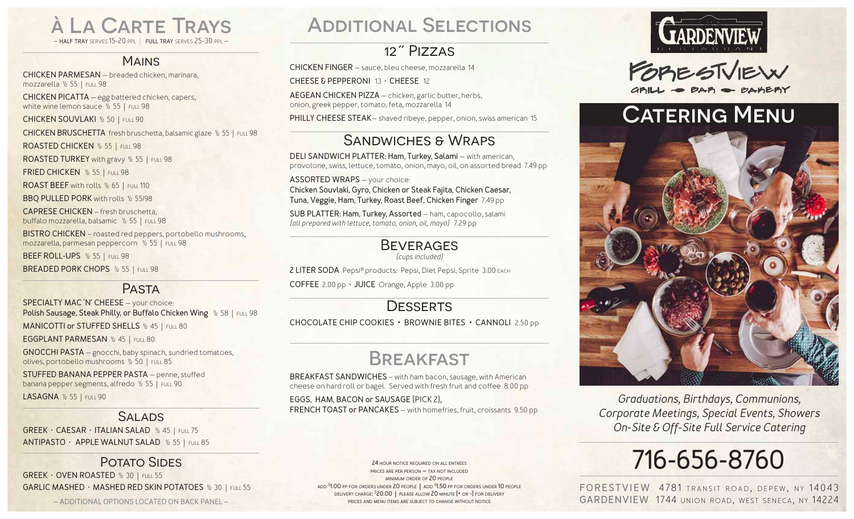à La Carte Trays – **half tray** serves 15-20 ppl | **full tray** serves 25-30 ppl –

### **MAINS**

**CHICKEN PARMESAN** — breaded chicken, marinara, mozzarella ½ 55 | full 98

**CHICKEN PICATTA** — egg battered chicken, capers, white wine lemon sauce 1/2 55 | FULL 98

**CHICKEN SOUVLAKI** ½ 50 | full 90

**CHICKEN BRUSCHETTA** fresh bruschetta, balsamic glaze ½ 55 | full 98

**ROASTED CHICKEN** ½ 55 | full 98

ROASTED TURKEY with gravy 1/2 55 | FULL 98

**FRIED CHICKEN** ½ 55 | full 98

**ROAST BEEF** with rolls 1/2 65 | FULL 110

**BBQ PULLED PORK** with rolls ½ 55/98

**CAPRESE CHICKEN** – fresh bruschetta, buffalo mozzarella, balsamic ½ 55 | full 98

**BISTRO CHICKEN** – roasted red peppers, portobello mushrooms, mozzarella, parmesan peppercorn ½ 55 | full 98

**BEEF ROLL-UPS** ½ 55 | full 98

**BREADED PORK CHOPS** ½ 55 | full 98

## **PASTA**

**SPECIALTY MAC 'N' CHEESE** — your choice: **Polish Sausage, Steak Philly, or Buffalo Chicken Wing**  $\frac{1}{2}$  **58 | FULL 98** 

**MANICOTTI or STUFFED SHELLS 1/2 45 | FULL 80** 

**EGGPLANT PARMESAN** ½ 45 | full 80

**GNOCCHI PASTA** — gnocchi, baby spinach, sundried tomatoes, olives, portobello mushrooms ½ 50 | full 85

**STUFFED BANANA PEPPER PASTA** — penne, stuffed banana pepper segments, alfredo ½ 55 | full 90

**LASAGNA** ½ 55 | full 90

### **SALADS**

**GREEK** • **CAESAR** • **ITALIAN SALAD** ½ 45 | full 75 **ANTIPASTO** • **APPLE WALNUT SALAD** ½ 55 | full 85

### POTATO SIDES

**GREEK** • **OVEN ROASTED** ½ 30 | full 55 **GARLIC MASHED** • **MASHED RED SKIN POTATOES** ½ 30 | full 55

**– ADDITIONAL OPTIONS LOCATED ON BACK PANEL –**

## Additional Selections

## 12˝ Pizzas

**CHICKEN FINGER** — sauce, bleu cheese, mozzarella 14

**CHEESE & PEPPERONI** 13 • **CHEESE** 12

**AEGEAN CHICKEN PIZZA** — chicken, garlic butter, herbs, onion, greek pepper, tomato, feta, mozzarella 14

**PHILLY CHEESE STEAK**— shaved ribeye, pepper, onion, swiss american 15

## Sandwiches & Wraps

**DELI SANDWICH PLATTER: Ham, Turkey, Salami** — with american, provolone, swiss, lettuce, tomato, onion, mayo, oil, on assorted bread 7.49 pp

**ASSORTED WRAPS** — your choice: **Chicken Souvlaki, Gyro, Chicken or Steak Fajita, Chicken Caesar, Tuna, Veggie, Ham, Turkey, Roast Beef, Chicken Finger** 7.49 pp

**SUB PLATTER: Ham, Turkey, Assorted** — ham, capocollo, salami *(all prepared with lettuce, tomato, onion, oil, mayo)* 7.29 pp

### **BEVERAGES**

*(cups included)*

**2 LITER SODA** Pepsi® products: Pepsi, Diet Pepsi, Sprite 3.00 each

**COFFEE** 2.00 pp • **JUICE** Orange, Apple 3.00 pp

### **DESSERTS**

**CHOCOLATE CHIP COOKIES • BROWNIE BITES • CANNOLI** 2.50 pp

## **BREAKFAST**

**BREAKFAST SANDWICHES** – with ham bacon, sausage, with American cheese on hard roll or bagel. Served with fresh fruit and coffee 8.00 pp

**EGGS, HAM, BACON or SAUSAGE** (PICK 2), **FRENCH TOAST or PANCAKES** — with homefries, fruit, croissants 9.50 pp

> **24 hour notice required on all entrées prices are per person — tax not included minimum order of 20 people add \$ 1.00 pp for orders under 20 people | add \$ 1.50 pp for orders under 10 people delivery charge: \$ 20.00 | please allow 20 minute (+ or -) for delivery prices and menu items are subject to change without notice**



FORESTVIEW



*Graduations, Birthdays, Communions, Corporate Meetings, Special Events, Showers On-Site & Off-Site Full Service Catering*

# **716-656-8760**

**FORESTVIEW 4781 TRANSIT ROAD, DEPEW, NY 14043 GARDENVIEW** 1744 union road, west seneca, ny 14224